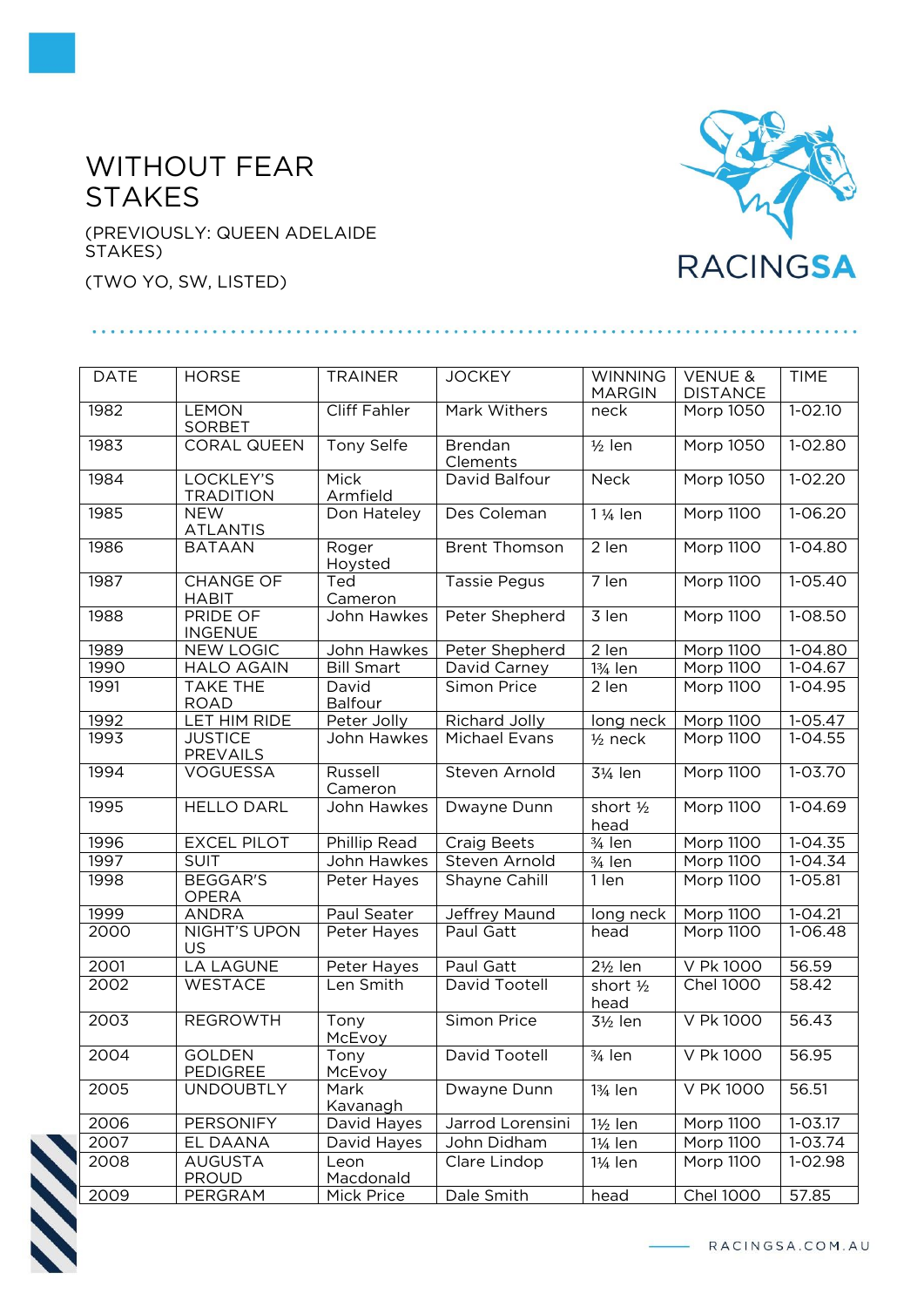## WITHOUT FEAR STAKES

(PREVIOUSLY: QUEEN ADELAIDE STAKES)

(TWO YO, SW, LISTED)



| <b>DATE</b> | <b>HORSE</b>                      | <b>TRAINER</b>          | <b>JOCKEY</b>              | <b>WINNING</b>        | <b>VENUE &amp;</b> | <b>TIME</b>           |
|-------------|-----------------------------------|-------------------------|----------------------------|-----------------------|--------------------|-----------------------|
|             |                                   |                         |                            | <b>MARGIN</b>         | <b>DISTANCE</b>    |                       |
| 1982        | <b>LEMON</b><br><b>SORBET</b>     | Cliff Fahler            | Mark Withers               | neck                  | Morp 1050          | $1 - 02.10$           |
| 1983        | <b>CORAL QUEEN</b>                | <b>Tony Selfe</b>       | <b>Brendan</b><br>Clements | $\frac{1}{2}$ len     | <b>Morp 1050</b>   | 1-02.80               |
| 1984        | LOCKLEY'S<br><b>TRADITION</b>     | Mick<br>Armfield        | David Balfour              | Neck                  | <b>Morp 1050</b>   | $1 - 02.20$           |
| 1985        | <b>NEW</b><br><b>ATLANTIS</b>     | Don Hateley             | Des Coleman                | 1 1/ <sub>4</sub> len | Morp 1100          | $1 - 06.20$           |
| 1986        | <b>BATAAN</b>                     | Roger<br>Hoysted        | <b>Brent Thomson</b>       | 2 len                 | <b>Morp 1100</b>   | $1 - 04.80$           |
| 1987        | <b>CHANGE OF</b><br><b>HABIT</b>  | Ted<br>Cameron          | <b>Tassie Pegus</b>        | $\overline{7}$ len    | <b>Morp 1100</b>   | $1 - 05.40$           |
| 1988        | PRIDE OF<br><b>INGENUE</b>        | John Hawkes             | Peter Shepherd             | 3 len                 | Morp 1100          | 1-08.50               |
| 1989        | <b>NEW LOGIC</b>                  | John Hawkes             | Peter Shepherd             | 2 len                 | Morp 1100          | 1-04.80               |
| 1990        | <b>HALO AGAIN</b>                 | <b>Bill Smart</b>       | David Carney               | 13/ <sub>4</sub> len  | Morp 1100          | $1-04.67$             |
| 1991        | <b>TAKE THE</b><br><b>ROAD</b>    | David<br><b>Balfour</b> | Simon Price                | 2 len                 | Morp 1100          | $1-04.95$             |
| 1992        | LET HIM RIDE                      | Peter Jolly             | Richard Jolly              | long neck             | Morp 1100          | $1 - 05.47$           |
| 1993        | <b>JUSTICE</b><br><b>PREVAILS</b> | John Hawkes             | Michael Evans              | $1/2$ neck            | <b>Morp 1100</b>   | $1 - 04.55$           |
| 1994        | <b>VOGUESSA</b>                   | Russell<br>Cameron      | Steven Arnold              | 31/ <sub>4</sub> len  | Morp 1100          | $1 - 03.70$           |
| 1995        | <b>HELLO DARL</b>                 | John Hawkes             | Dwayne Dunn                | short 1/2<br>head     | Morp 1100          | $1 - 04.69$           |
| 1996        | <b>EXCEL PILOT</b>                | Phillip Read            | <b>Craig Beets</b>         | 3/ <sub>4</sub> len   | Morp 1100          | $\overline{1}$ -04.35 |
| 1997        | <b>SUIT</b>                       | John Hawkes             | Steven Arnold              | $3/4$ len             | <b>Morp 1100</b>   | $1 - 04.34$           |
| 1998        | <b>BEGGAR'S</b><br><b>OPERA</b>   | Peter Hayes             | Shayne Cahill              | 1 len                 | Morp 1100          | 1-05.81               |
| 1999        | <b>ANDRA</b>                      | Paul Seater             | Jeffrey Maund              | long neck             | Morp 1100          | $1 - 04.21$           |
| 2000        | NIGHT'S UPON<br>US                | Peter Hayes             | Paul Gatt                  | head                  | <b>Morp 1100</b>   | $1 - 06.48$           |
| 2001        | <b>LA LAGUNE</b>                  | Peter Hayes             | Paul Gatt                  | $2\frac{1}{2}$ len    | V Pk 1000          | 56.59                 |
| 2002        | WESTACE                           | Len Smith               | David Tootell              | short 1/2<br>head     | <b>Chel 1000</b>   | 58.42                 |
| 2003        | <b>REGROWTH</b>                   | Tony<br>McEvoy          | Simon Price                | $3\frac{1}{2}$ len    | V Pk 1000          | 56.43                 |
| 2004        | <b>GOLDEN</b><br><b>PEDIGREE</b>  | Tony<br>McEvoy          | David Tootell              | 3/ <sub>4</sub> len   | V Pk 1000          | 56.95                 |
| 2005        | <b>UNDOUBTLY</b>                  | Mark<br>Kavanagh        | Dwayne Dunn                | 13/ <sub>4</sub> len  | V PK 1000          | 56.51                 |
| 2006        | PERSONIFY                         | David Hayes             | Jarrod Lorensini           | 1½ len                | Morp 1100          | $1 - 03.17$           |
| 2007        | EL DAANA                          | David Hayes             | John Didham                | 1¼ len                | Morp 1100          | $1 - 03.74$           |
| 2008        | <b>AUGUSTA</b><br><b>PROUD</b>    | Leon<br>Macdonald       | Clare Lindop               | $1\frac{1}{4}$ len    | Morp 1100          | 1-02.98               |
| 2009        | PERGRAM                           | Mick Price              | Dale Smith                 | head                  | <b>Chel 1000</b>   | 57.85                 |



- RACINGSA.COM.AU